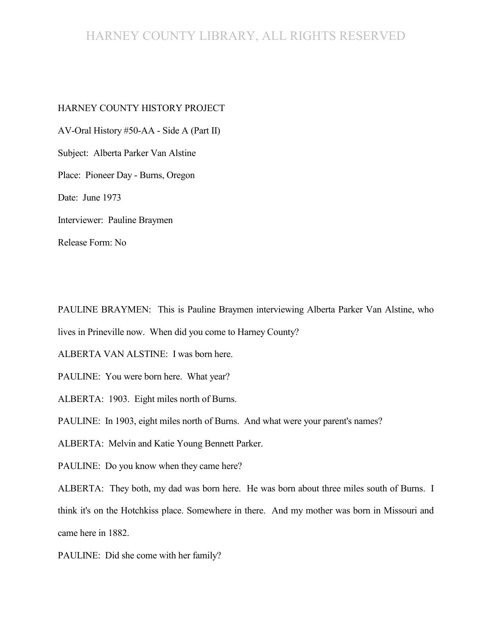# HARNEY COUNTY LIBRARY, ALL RIGHTS RESERVED

#### HARNEY COUNTY HISTORY PROJECT

AV-Oral History #50-AA - Side A (Part II) Subject: Alberta Parker Van Alstine Place: Pioneer Day - Burns, Oregon Date: June 1973 Interviewer: Pauline Braymen Release Form: No

PAULINE BRAYMEN: This is Pauline Braymen interviewing Alberta Parker Van Alstine, who lives in Prineville now. When did you come to Harney County?

ALBERTA VAN ALSTINE: I was born here.

PAULINE: You were born here. What year?

ALBERTA: 1903. Eight miles north of Burns.

PAULINE: In 1903, eight miles north of Burns. And what were your parent's names?

ALBERTA: Melvin and Katie Young Bennett Parker.

PAULINE: Do you know when they came here?

ALBERTA: They both, my dad was born here. He was born about three miles south of Burns. I think it's on the Hotchkiss place. Somewhere in there. And my mother was born in Missouri and came here in 1882.

PAULINE: Did she come with her family?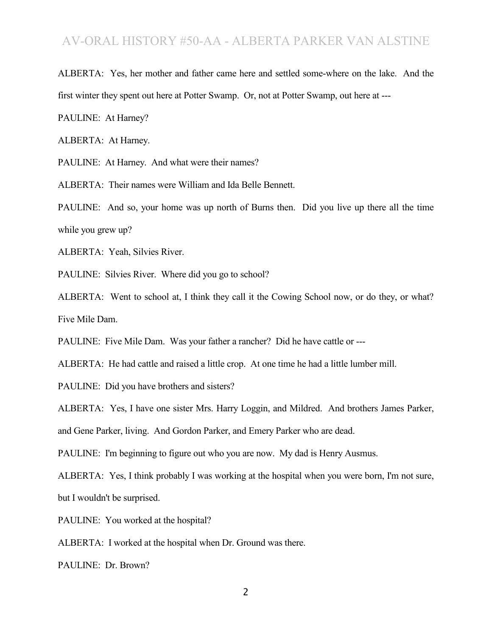## AV-ORAL HISTORY #50-AA - ALBERTA PARKER VAN ALSTINE

ALBERTA: Yes, her mother and father came here and settled some-where on the lake. And the first winter they spent out here at Potter Swamp. Or, not at Potter Swamp, out here at ---

PAULINE: At Harney?

ALBERTA: At Harney.

PAULINE: At Harney. And what were their names?

ALBERTA: Their names were William and Ida Belle Bennett.

PAULINE: And so, your home was up north of Burns then. Did you live up there all the time while you grew up?

ALBERTA: Yeah, Silvies River.

PAULINE: Silvies River. Where did you go to school?

ALBERTA: Went to school at, I think they call it the Cowing School now, or do they, or what? Five Mile Dam.

PAULINE: Five Mile Dam. Was your father a rancher? Did he have cattle or ---

ALBERTA: He had cattle and raised a little crop. At one time he had a little lumber mill.

PAULINE: Did you have brothers and sisters?

ALBERTA: Yes, I have one sister Mrs. Harry Loggin, and Mildred. And brothers James Parker,

and Gene Parker, living. And Gordon Parker, and Emery Parker who are dead.

PAULINE: I'm beginning to figure out who you are now. My dad is Henry Ausmus.

ALBERTA: Yes, I think probably I was working at the hospital when you were born, I'm not sure, but I wouldn't be surprised.

PAULINE: You worked at the hospital?

ALBERTA: I worked at the hospital when Dr. Ground was there.

PAULINE: Dr. Brown?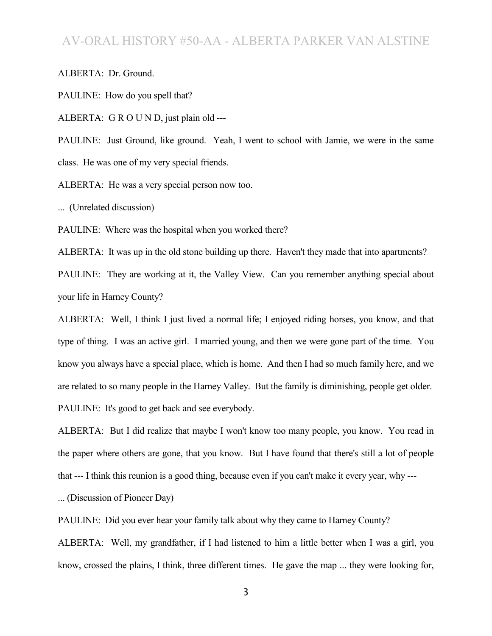## AV-ORAL HISTORY #50-AA - ALBERTA PARKER VAN ALSTINE

ALBERTA: Dr. Ground.

PAULINE: How do you spell that?

ALBERTA: G R O U N D, just plain old ---

PAULINE: Just Ground, like ground. Yeah, I went to school with Jamie, we were in the same class. He was one of my very special friends.

ALBERTA: He was a very special person now too.

... (Unrelated discussion)

PAULINE: Where was the hospital when you worked there?

ALBERTA: It was up in the old stone building up there. Haven't they made that into apartments? PAULINE: They are working at it, the Valley View. Can you remember anything special about your life in Harney County?

ALBERTA: Well, I think I just lived a normal life; I enjoyed riding horses, you know, and that type of thing. I was an active girl. I married young, and then we were gone part of the time. You know you always have a special place, which is home. And then I had so much family here, and we are related to so many people in the Harney Valley. But the family is diminishing, people get older. PAULINE: It's good to get back and see everybody.

ALBERTA: But I did realize that maybe I won't know too many people, you know. You read in the paper where others are gone, that you know. But I have found that there's still a lot of people that --- I think this reunion is a good thing, because even if you can't make it every year, why ---

... (Discussion of Pioneer Day)

PAULINE: Did you ever hear your family talk about why they came to Harney County?

ALBERTA: Well, my grandfather, if I had listened to him a little better when I was a girl, you know, crossed the plains, I think, three different times. He gave the map ... they were looking for,